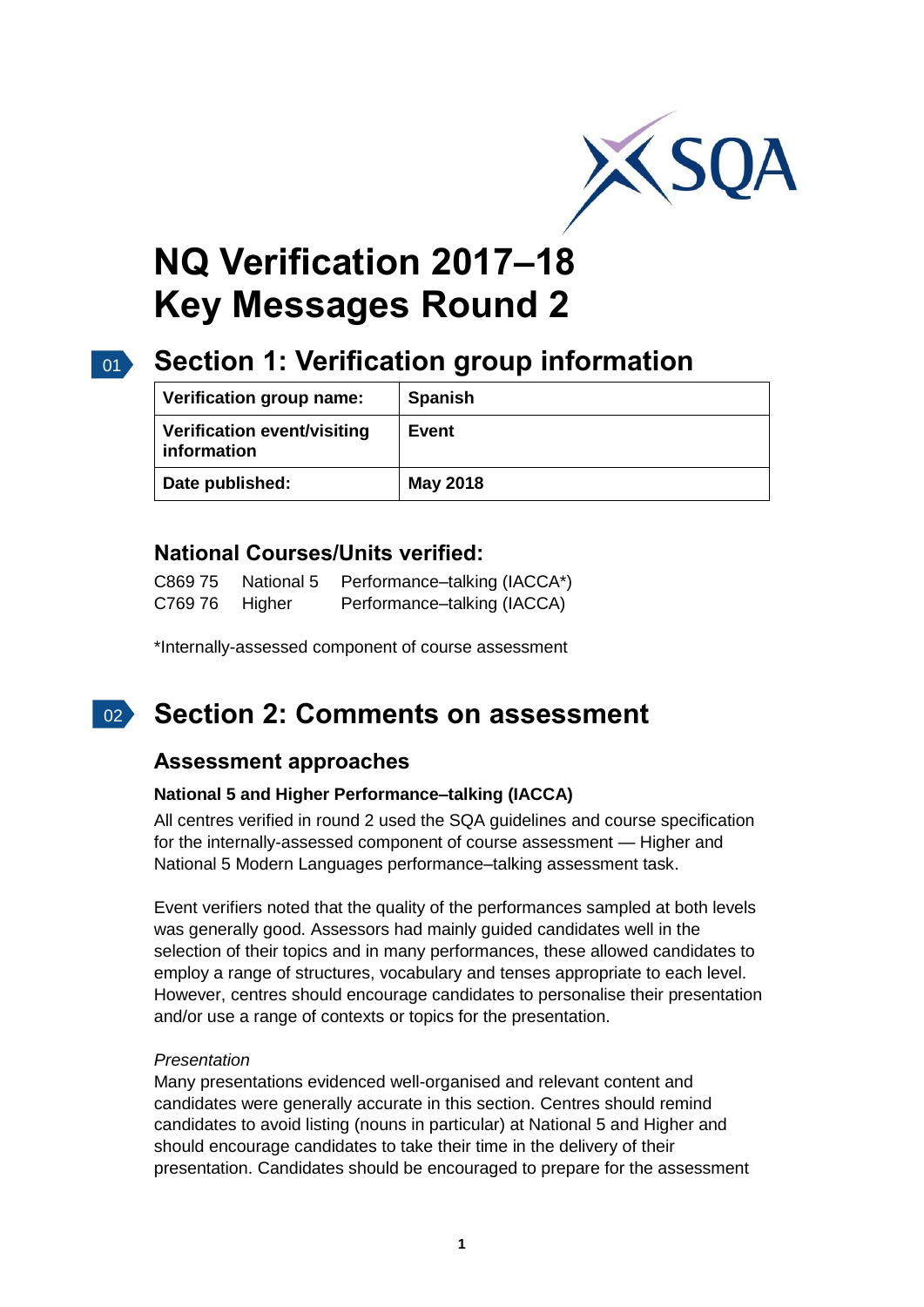

# **NQ Verification 2017–18 Key Messages Round 2**

# 01 **Section 1: Verification group information**

| Verification group name:                   | <b>Spanish</b>  |
|--------------------------------------------|-----------------|
| Verification event/visiting<br>information | Event           |
| Date published:                            | <b>May 2018</b> |

## **National Courses/Units verified:**

| C869 75 | National 5 | Performance-talking (IACCA*) |
|---------|------------|------------------------------|
| C769 76 | Higher     | Performance-talking (IACCA)  |

\*Internally-assessed component of course assessment

#### $02<sup>2</sup>$ **Section 2: Comments on assessment**

# **Assessment approaches**

#### **National 5 and Higher Performance–talking (IACCA)**

All centres verified in round 2 used the SQA guidelines and course specification for the internally-assessed component of course assessment — Higher and National 5 Modern Languages performance–talking assessment task.

Event verifiers noted that the quality of the performances sampled at both levels was generally good. Assessors had mainly guided candidates well in the selection of their topics and in many performances, these allowed candidates to employ a range of structures, vocabulary and tenses appropriate to each level. However, centres should encourage candidates to personalise their presentation and/or use a range of contexts or topics for the presentation.

#### *Presentation*

Many presentations evidenced well-organised and relevant content and candidates were generally accurate in this section. Centres should remind candidates to avoid listing (nouns in particular) at National 5 and Higher and should encourage candidates to take their time in the delivery of their presentation. Candidates should be encouraged to prepare for the assessment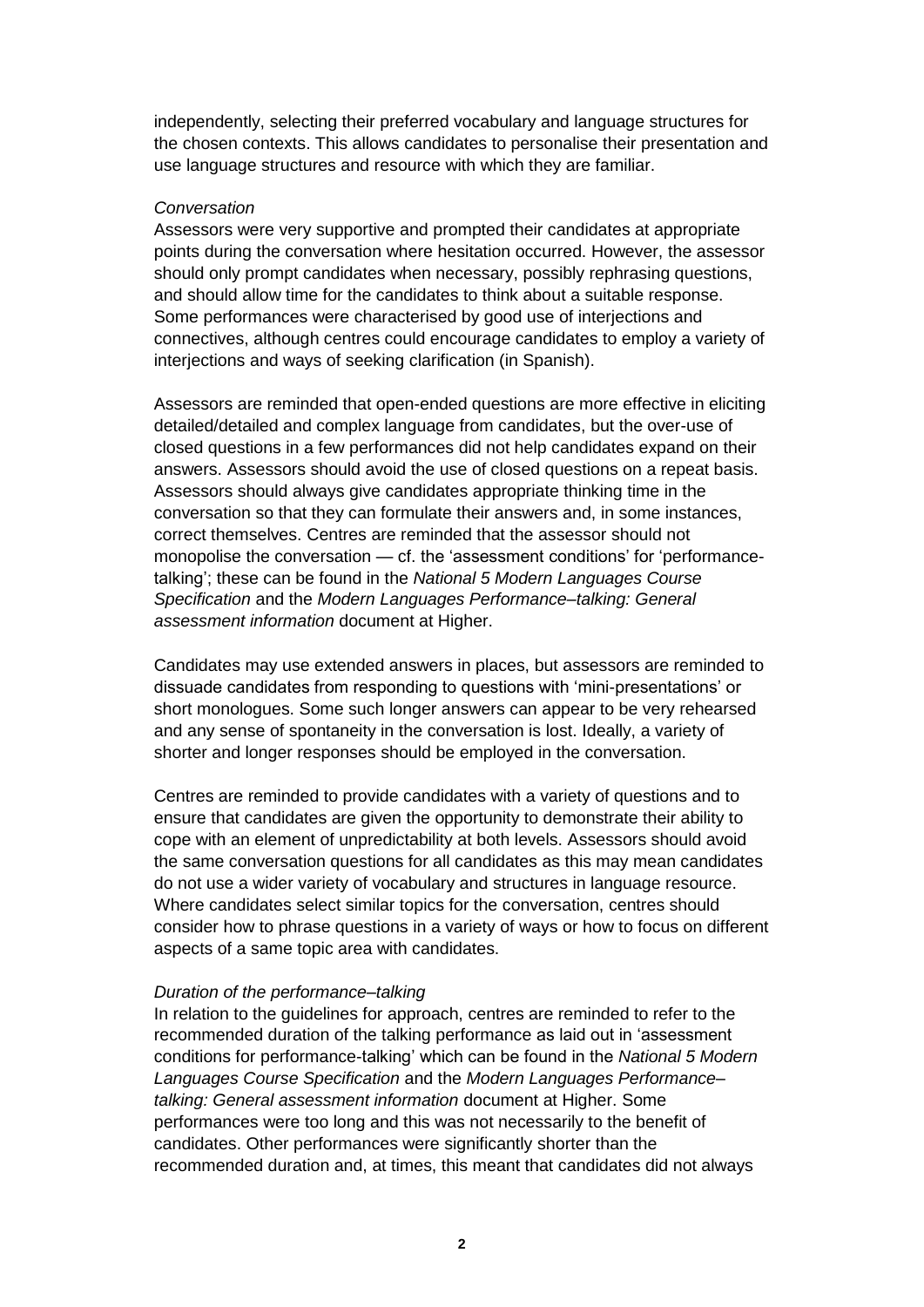independently, selecting their preferred vocabulary and language structures for the chosen contexts. This allows candidates to personalise their presentation and use language structures and resource with which they are familiar.

#### *Conversation*

Assessors were very supportive and prompted their candidates at appropriate points during the conversation where hesitation occurred. However, the assessor should only prompt candidates when necessary, possibly rephrasing questions, and should allow time for the candidates to think about a suitable response. Some performances were characterised by good use of interjections and connectives, although centres could encourage candidates to employ a variety of interjections and ways of seeking clarification (in Spanish).

Assessors are reminded that open-ended questions are more effective in eliciting detailed/detailed and complex language from candidates, but the over-use of closed questions in a few performances did not help candidates expand on their answers. Assessors should avoid the use of closed questions on a repeat basis. Assessors should always give candidates appropriate thinking time in the conversation so that they can formulate their answers and, in some instances, correct themselves. Centres are reminded that the assessor should not monopolise the conversation — cf. the 'assessment conditions' for 'performancetalking'; these can be found in the *National 5 Modern Languages Course Specification* and the *Modern Languages Performance–talking: General assessment information* document at Higher.

Candidates may use extended answers in places, but assessors are reminded to dissuade candidates from responding to questions with 'mini-presentations' or short monologues. Some such longer answers can appear to be very rehearsed and any sense of spontaneity in the conversation is lost. Ideally, a variety of shorter and longer responses should be employed in the conversation.

Centres are reminded to provide candidates with a variety of questions and to ensure that candidates are given the opportunity to demonstrate their ability to cope with an element of unpredictability at both levels. Assessors should avoid the same conversation questions for all candidates as this may mean candidates do not use a wider variety of vocabulary and structures in language resource. Where candidates select similar topics for the conversation, centres should consider how to phrase questions in a variety of ways or how to focus on different aspects of a same topic area with candidates.

#### *Duration of the performance–talking*

In relation to the guidelines for approach, centres are reminded to refer to the recommended duration of the talking performance as laid out in 'assessment conditions for performance-talking' which can be found in the *National 5 Modern Languages Course Specification* and the *Modern Languages Performance– talking: General assessment information* document at Higher. Some performances were too long and this was not necessarily to the benefit of candidates. Other performances were significantly shorter than the recommended duration and, at times, this meant that candidates did not always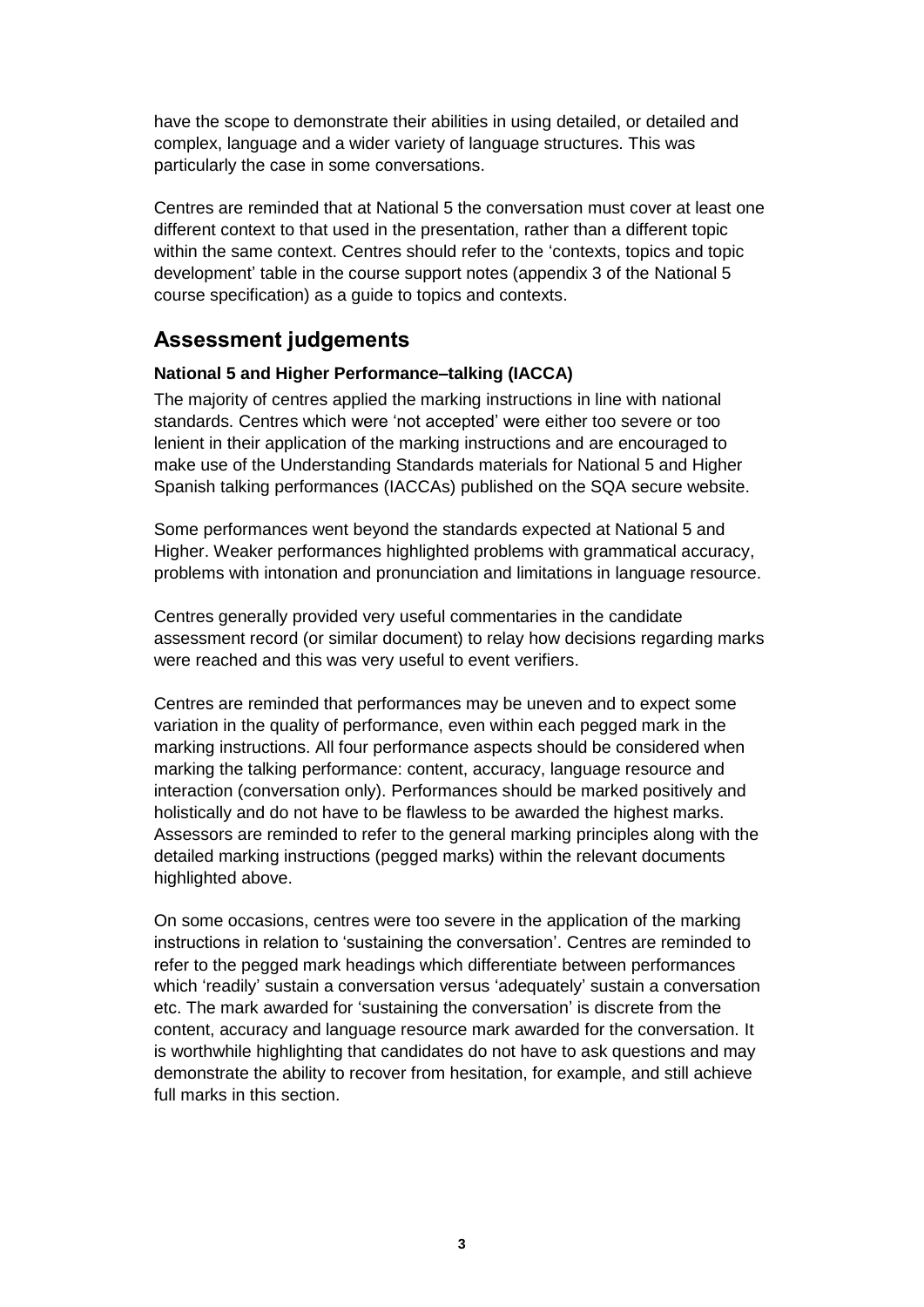have the scope to demonstrate their abilities in using detailed, or detailed and complex, language and a wider variety of language structures. This was particularly the case in some conversations.

Centres are reminded that at National 5 the conversation must cover at least one different context to that used in the presentation, rather than a different topic within the same context. Centres should refer to the 'contexts, topics and topic development' table in the course support notes (appendix 3 of the National 5 course specification) as a guide to topics and contexts.

# **Assessment judgements**

### **National 5 and Higher Performance–talking (IACCA)**

The majority of centres applied the marking instructions in line with national standards. Centres which were 'not accepted' were either too severe or too lenient in their application of the marking instructions and are encouraged to make use of the Understanding Standards materials for National 5 and Higher Spanish talking performances (IACCAs) published on the SQA secure website.

Some performances went beyond the standards expected at National 5 and Higher. Weaker performances highlighted problems with grammatical accuracy, problems with intonation and pronunciation and limitations in language resource.

Centres generally provided very useful commentaries in the candidate assessment record (or similar document) to relay how decisions regarding marks were reached and this was very useful to event verifiers.

Centres are reminded that performances may be uneven and to expect some variation in the quality of performance, even within each pegged mark in the marking instructions. All four performance aspects should be considered when marking the talking performance: content, accuracy, language resource and interaction (conversation only). Performances should be marked positively and holistically and do not have to be flawless to be awarded the highest marks. Assessors are reminded to refer to the general marking principles along with the detailed marking instructions (pegged marks) within the relevant documents highlighted above.

On some occasions, centres were too severe in the application of the marking instructions in relation to 'sustaining the conversation'. Centres are reminded to refer to the pegged mark headings which differentiate between performances which 'readily' sustain a conversation versus 'adequately' sustain a conversation etc. The mark awarded for 'sustaining the conversation' is discrete from the content, accuracy and language resource mark awarded for the conversation. It is worthwhile highlighting that candidates do not have to ask questions and may demonstrate the ability to recover from hesitation, for example, and still achieve full marks in this section.